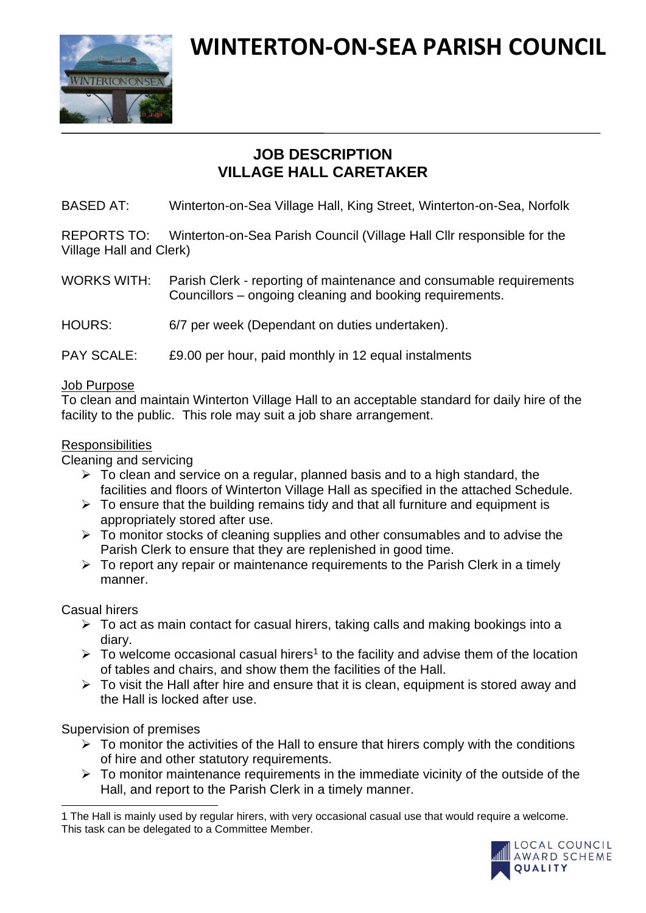

# **WINTERTON-ON-SEA PARISH COUNCIL**

# **JOB DESCRIPTION VILLAGE HALL CARETAKER**

BASED AT: Winterton-on-Sea Village Hall, King Street, Winterton-on-Sea, Norfolk

REPORTS TO: Winterton-on-Sea Parish Council (Village Hall Cllr responsible for the Village Hall and Clerk)

WORKS WITH: Parish Clerk - reporting of maintenance and consumable requirements Councillors – ongoing cleaning and booking requirements.

HOURS: 6/7 per week (Dependant on duties undertaken).

# PAY SCALE: £9.00 per hour, paid monthly in 12 equal instalments

### Job Purpose

To clean and maintain Winterton Village Hall to an acceptable standard for daily hire of the facility to the public. This role may suit a job share arrangement.

### **Responsibilities**

Cleaning and servicing

- $\triangleright$  To clean and service on a regular, planned basis and to a high standard, the facilities and floors of Winterton Village Hall as specified in the attached Schedule.
- $\triangleright$  To ensure that the building remains tidy and that all furniture and equipment is appropriately stored after use.
- $\triangleright$  To monitor stocks of cleaning supplies and other consumables and to advise the Parish Clerk to ensure that they are replenished in good time.
- $\triangleright$  To report any repair or maintenance requirements to the Parish Clerk in a timely manner.

Casual hirers

- ➢ To act as main contact for casual hirers, taking calls and making bookings into a diary.
- $\triangleright$  To welcome occasional casual hirers<sup>1</sup> to the facility and advise them of the location of tables and chairs, and show them the facilities of the Hall.
- $\triangleright$  To visit the Hall after hire and ensure that it is clean, equipment is stored away and the Hall is locked after use.

Supervision of premises

- $\triangleright$  To monitor the activities of the Hall to ensure that hirers comply with the conditions of hire and other statutory requirements.
- $\triangleright$  To monitor maintenance requirements in the immediate vicinity of the outside of the Hall, and report to the Parish Clerk in a timely manner.

<sup>1</sup> The Hall is mainly used by regular hirers, with very occasional casual use that would require a welcome. This task can be delegated to a Committee Member.